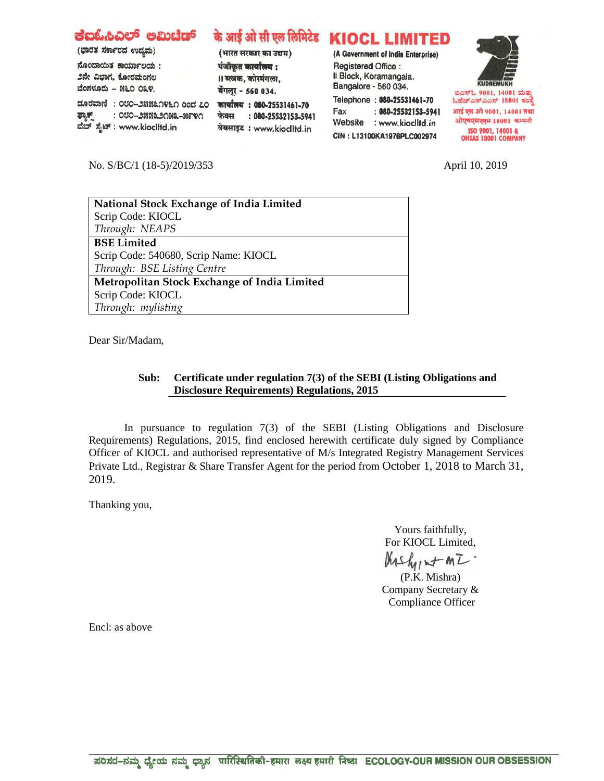| ಕಐಓಹಿಎಲ್ ಅಮಿಚೆಡ್<br>(ಭಾರತ ಸರ್ಕಾರದ ಉದ್ಯಮ)<br>ನೊಂದಾಯಿತ ಕಾರ್ಯಾಲಯ:<br>೨ನೇ ವಿಭಾಗ, ಕೋರಮಂಗಲ<br>ಬೆಂಗಳೂರು - ೫೬೦ ೦೩೪.<br>ದೂರವಾಣಿ: ೦೮೦-೨೫೫೩೧೪೬೧ ರಿಂದ ೭೦<br>ಫ್ಯಾಕ್ಸ್<br>: ೦೮೦–೨೫೫೩೨೧೫೩–೫೯೪೧<br>ವೆಬ್ ಸೈಟ್ : www.kioclitd.in | (भारत सरकार का उद्यम)<br>पंजीकृत कार्यालय :<br>।। ब्लाक, कोरमंगला,<br>बेंगलूर - 560 034.<br>कार्यालय: 080-25531461-70<br>: 080-25532153-5941<br>फेक्स<br>वेबसाइट: www.kioclltd.in | के आई ओ सी एल लिमिटेड KIOCL LIMITED<br>(A Government of India Enterprise)<br>Registered Office:<br>Il Block, Koramangala.<br>Bangalore - 560 034.<br>Telephone: 080-25531461-70<br>$: 080 - 25532153 - 5941$<br>Fax<br>Website<br>: www.kioclltd.in<br>CIN: L13100KA1976PLC002974 | <b>KUDREMUKH</b><br>ಐಎಸ್ಓ 9001, 14001 ಮತ್ತು<br>ಓಹೆಚ್ಎಸ್ಎಎಸ್ 18001 ಸಂಸ್ಥೆ<br>आई एस ओ 9001, 14001 तथा<br>ओएचएसएएस 18001 कम्पनी<br>ISO 9001, 14001 &<br><b>OHSAS 18001 COMPANY</b> |
|----------------------------------------------------------------------------------------------------------------------------------------------------------------------------------------------------------------|-----------------------------------------------------------------------------------------------------------------------------------------------------------------------------------|-----------------------------------------------------------------------------------------------------------------------------------------------------------------------------------------------------------------------------------------------------------------------------------|---------------------------------------------------------------------------------------------------------------------------------------------------------------------------------|
|----------------------------------------------------------------------------------------------------------------------------------------------------------------------------------------------------------------|-----------------------------------------------------------------------------------------------------------------------------------------------------------------------------------|-----------------------------------------------------------------------------------------------------------------------------------------------------------------------------------------------------------------------------------------------------------------------------------|---------------------------------------------------------------------------------------------------------------------------------------------------------------------------------|

No. S/BC/1 (18-5)/2019/353 April 10, 2019

| National Stock Exchange of India Limited            |  |  |  |
|-----------------------------------------------------|--|--|--|
| Scrip Code: KIOCL                                   |  |  |  |
| Through: NEAPS                                      |  |  |  |
| <b>BSE Limited</b>                                  |  |  |  |
| Scrip Code: 540680, Scrip Name: KIOCL               |  |  |  |
| Through: BSE Listing Centre                         |  |  |  |
| <b>Metropolitan Stock Exchange of India Limited</b> |  |  |  |
| Scrip Code: KIOCL                                   |  |  |  |
| Through: mylisting                                  |  |  |  |
|                                                     |  |  |  |

Dear Sir/Madam,

## **Sub: Certificate under regulation 7(3) of the SEBI (Listing Obligations and Disclosure Requirements) Regulations, 2015**

In pursuance to regulation 7(3) of the SEBI (Listing Obligations and Disclosure Requirements) Regulations, 2015, find enclosed herewith certificate duly signed by Compliance Officer of KIOCL and authorised representative of M/s Integrated Registry Management Services Private Ltd., Registrar & Share Transfer Agent for the period from October 1, 2018 to March 31, 2019.

Thanking you,

Yours faithfully, For KIOCL Limited,

 $Mshy \sim m\overline{L}$ .<br>(P.K. Mishra)

Company Secretary & Compliance Officer

Encl: as above